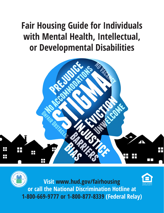# **Fair Housing Guide for Individuals with Mental Health, Intellectual, or Developmental Disabilities**



**Visit www.hud.gov/fairhousing or call the National Discrimination Hotline at 1-800-669-9777 or 1-800-877-8339 (Federal Relay)**

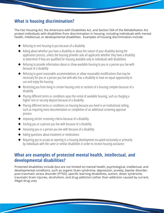## **What is housing discrimination?**

The Fair Housing Act, the Americans with Disabilities Act, and Section 504 of the Rehabilitation Act protect individuals with disabilities from discrimination in housing, including individuals with mental health, intellectual, or developmental disabilities. Examples of housing discrimination include:

- $\blacklozenge$  Refusing to rent housing to you because of a disability
- ◆ Asking about whether you have a disability or about the nature of your disability during the application process, unless the housing provider asks all applicants whether they have a disability to determine if they are qualified for housing available only to individuals with disabilities
- ◆ Refusing to provide information about or show available housing to you or a person you live with because of a disability
- ◆ Refusing to grant reasonable accommodations or allow reasonable modifications that may be necessary for you or a person you live with who has a disability to have an equal opportunity to use and enjoy the housing
- ◆ Restricting you from living in certain housing units or sections of a housing complex because of a disability
- ◆ Placing different terms or conditions upon the rental of available housing, such as charging a higher rent or security deposit because of a disability
- ◆ Placing different terms or conditions on housing because you lived in an institutional setting, such as requiring more documentation or completion of an additional screening approval process
- $\blacklozenge$  Imposing stricter screening criteria because of a disability
- ◆ Evicting you or a person you live with because of a disability
- ◆ Harassing you or a person you live with because of a disability
- ◆ Asking questions about treatment or medications
- ◆ Requiring you to accept an opening in a housing development occupied exclusively or primarily by individuals with the same or similar disabilities in order to receive housing assistance

#### **What are examples of protected mental health, intellectual, and developmental disabilities?**

Protected disabilities include (but are not limited to) mental health, psychological, intellectual, and developmental conditions, such as organic brain syndrome, depression, anxiety, bipolar disorder, post-traumatic stress disorder (PTSD), specific learning disabilities, autism, down syndrome, traumatic brain injuries, alcoholism, and drug addiction (other than addiction caused by current, illegal drug use).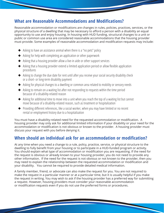## **What are Reasonable Accommodations and Modifications?**

Reasonable accommodation or modifications are changes in rules, policies, practices, services, or the physical structure of a dwelling that may be necessary to afford a person with a disability an equal opportunity to use and enjoy housing. In housing with HUD funding, structural changes to a unit or public or common use area are considered reasonable accommodations that the housing provider must provide. Some examples of reasonable accommodation and modification requests may include:

- $\blacklozenge$  Asking to have an assistance animal when there is a "no pets" policy
- ◆ Asking for help with completing an application or other paperwork
- ◆ Asking that a housing provider allow a live-in aide or other support services
- ◆ Asking that a housing provider extend a limited application period or allow flexible application procedures
- ◆ Asking to change the due date for rent until after you receive your social security disability check or a short- or long-term disability payment
- ◆ Asking for physical changes to a dwelling or common area related to mobility or sensory needs
- ◆ Asking to remain on a waiting list after not responding to requests within the time period because of a disability-related reason
- ◆ Asking for additional time to move into a unit when you reach the top of a waiting list but cannot move because of a disability-related reason, such as treatment or hospitalization
- ◆ Providing different references, like a social worker, when you may have limited or no recent rental or employment history due to a hospitalization

You must have a disability-related need for the requested accommodation or modification. A housing provider may only ask for additional limited information if your disability or your need for the accommodation or modification is not obvious or known to the provider. A housing provider must discuss your request with you before denying it.

## **When should an individual ask for an accommodation or modification?**

At any time when you need a change to a rule, policy, practice, service, or physical structure to the dwelling to fully benefit from your housing or to participate in a HUD-funded program or activity. You should explain what type of accommodation or modification you are requesting. If the need for the request is obvious or already known to your housing provider, you do not need to provide any other information. If the need for the request is not obvious or not known to the provider, then you may need to explain the relationship between the requested accommodation or modification and your disability. You cannot be required to provide detailed medical information.

A family member, friend, or advocate can also make the request for you. You are not required to make the request in a particular manner or at a particular time, but it is usually helpful if you make the request in writing. You may wish to ask if the housing provider has a preferred way for submitting a request. However, housing providers must consider your reasonable accommodation or modification requests even if you do not use the preferred forms or procedures.